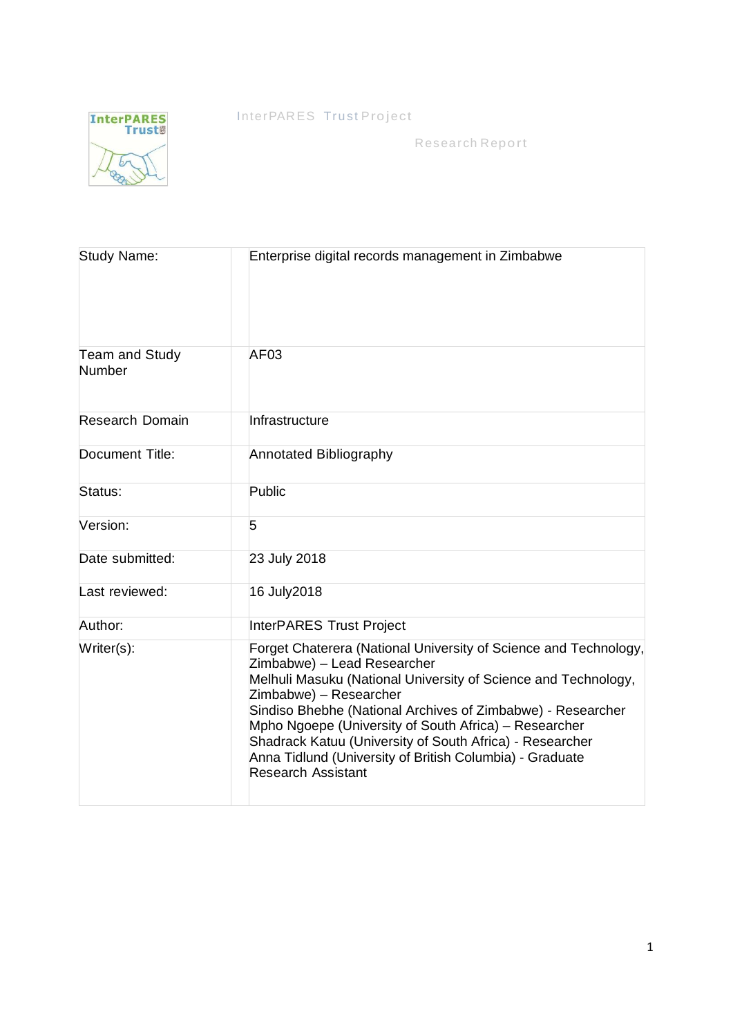InterPARES Trust Project



Research Report

| <b>Study Name:</b>              | Enterprise digital records management in Zimbabwe                                                                                                                                                                                                                                                                                                                                                                                                                 |  |  |
|---------------------------------|-------------------------------------------------------------------------------------------------------------------------------------------------------------------------------------------------------------------------------------------------------------------------------------------------------------------------------------------------------------------------------------------------------------------------------------------------------------------|--|--|
| <b>Team and Study</b><br>Number | AF03                                                                                                                                                                                                                                                                                                                                                                                                                                                              |  |  |
| <b>Research Domain</b>          | Infrastructure                                                                                                                                                                                                                                                                                                                                                                                                                                                    |  |  |
| Document Title:                 | Annotated Bibliography                                                                                                                                                                                                                                                                                                                                                                                                                                            |  |  |
| Status:                         | Public                                                                                                                                                                                                                                                                                                                                                                                                                                                            |  |  |
| Version:                        | 5                                                                                                                                                                                                                                                                                                                                                                                                                                                                 |  |  |
| Date submitted:                 | 23 July 2018                                                                                                                                                                                                                                                                                                                                                                                                                                                      |  |  |
| Last reviewed:                  | 16 July2018                                                                                                                                                                                                                                                                                                                                                                                                                                                       |  |  |
| Author:                         | <b>InterPARES Trust Project</b>                                                                                                                                                                                                                                                                                                                                                                                                                                   |  |  |
| Writer(s):                      | Forget Chaterera (National University of Science and Technology,<br>Zimbabwe) - Lead Researcher<br>Melhuli Masuku (National University of Science and Technology,<br>Zimbabwe) - Researcher<br>Sindiso Bhebhe (National Archives of Zimbabwe) - Researcher<br>Mpho Ngoepe (University of South Africa) - Researcher<br>Shadrack Katuu (University of South Africa) - Researcher<br>Anna Tidlund (University of British Columbia) - Graduate<br>Research Assistant |  |  |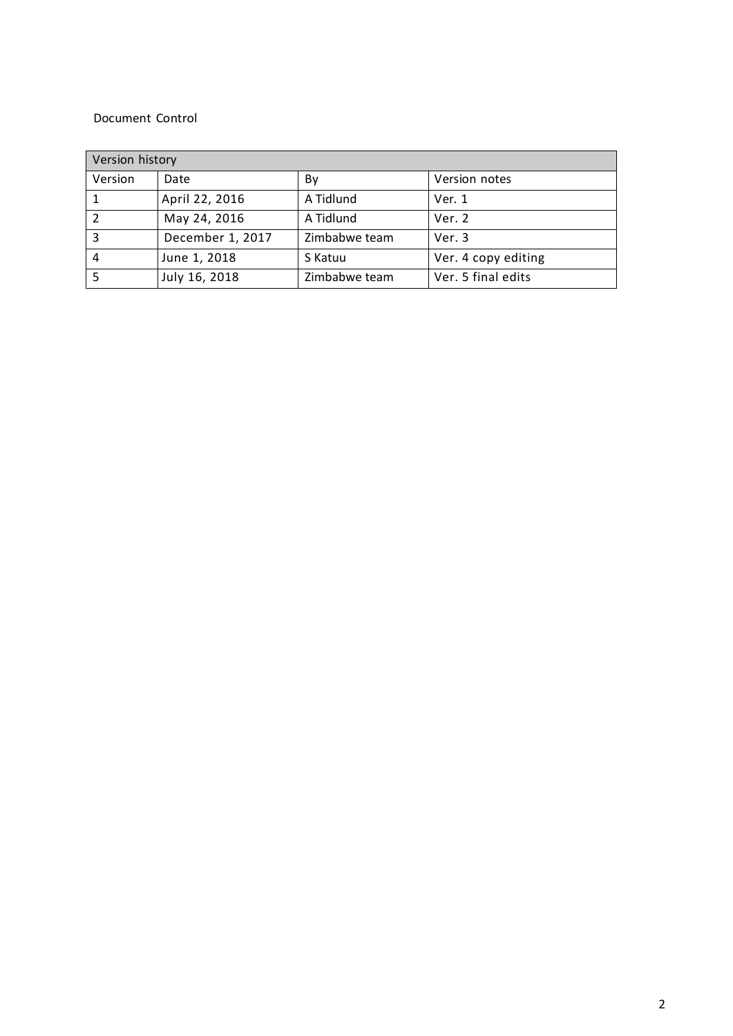#### Document Control

| Version history |                  |               |                     |  |
|-----------------|------------------|---------------|---------------------|--|
| Version         | Date             | By            | Version notes       |  |
|                 | April 22, 2016   | A Tidlund     | Ver. 1              |  |
| 2               | May 24, 2016     | A Tidlund     | Ver. 2              |  |
| 3               | December 1, 2017 | Zimbabwe team | Ver. 3              |  |
| 4               | June 1, 2018     | S Katuu       | Ver. 4 copy editing |  |
|                 | July 16, 2018    | Zimbabwe team | Ver. 5 final edits  |  |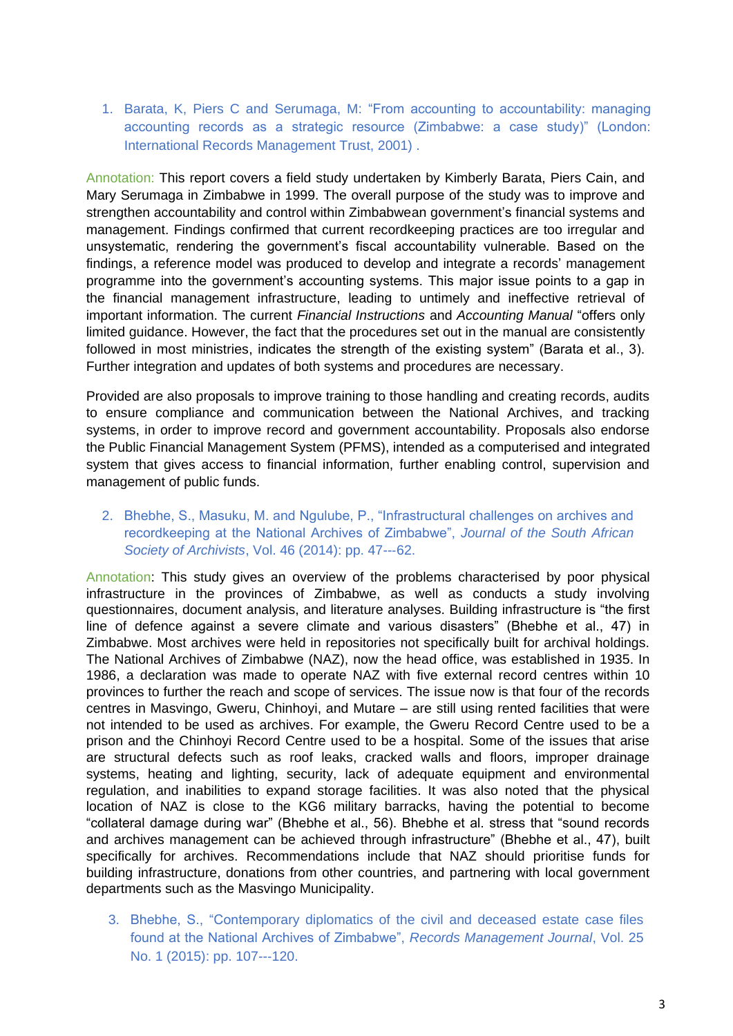1. Barata, K, Piers C and Serumaga, M: "From accounting to accountability: managing accounting records as a strategic resource (Zimbabwe: a case study)" (London: International Records Management Trust, 2001) .

Annotation: This report covers a field study undertaken by Kimberly Barata, Piers Cain, and Mary Serumaga in Zimbabwe in 1999. The overall purpose of the study was to improve and strengthen accountability and control within Zimbabwean government's financial systems and management. Findings confirmed that current recordkeeping practices are too irregular and unsystematic, rendering the government's fiscal accountability vulnerable. Based on the findings, a reference model was produced to develop and integrate a records' management programme into the government's accounting systems. This major issue points to a gap in the financial management infrastructure, leading to untimely and ineffective retrieval of important information. The current *Financial Instructions* and *Accounting Manual* "offers only limited guidance. However, the fact that the procedures set out in the manual are consistently followed in most ministries, indicates the strength of the existing system" (Barata et al., 3). Further integration and updates of both systems and procedures are necessary.

Provided are also proposals to improve training to those handling and creating records, audits to ensure compliance and communication between the National Archives, and tracking systems, in order to improve record and government accountability. Proposals also endorse the Public Financial Management System (PFMS), intended as a computerised and integrated system that gives access to financial information, further enabling control, supervision and management of public funds.

2. Bhebhe, S., Masuku, M. and Ngulube, P., "Infrastructural challenges on archives and recordkeeping at the National Archives of Zimbabwe", *Journal of the South African Society of Archivists*, Vol. 46 (2014): pp. 47--‐62.

Annotation: This study gives an overview of the problems characterised by poor physical infrastructure in the provinces of Zimbabwe, as well as conducts a study involving questionnaires, document analysis, and literature analyses. Building infrastructure is "the first line of defence against a severe climate and various disasters" (Bhebhe et al., 47) in Zimbabwe. Most archives were held in repositories not specifically built for archival holdings. The National Archives of Zimbabwe (NAZ), now the head office, was established in 1935. In 1986, a declaration was made to operate NAZ with five external record centres within 10 provinces to further the reach and scope of services. The issue now is that four of the records centres in Masvingo, Gweru, Chinhoyi, and Mutare – are still using rented facilities that were not intended to be used as archives. For example, the Gweru Record Centre used to be a prison and the Chinhoyi Record Centre used to be a hospital. Some of the issues that arise are structural defects such as roof leaks, cracked walls and floors, improper drainage systems, heating and lighting, security, lack of adequate equipment and environmental regulation, and inabilities to expand storage facilities. It was also noted that the physical location of NAZ is close to the KG6 military barracks, having the potential to become "collateral damage during war" (Bhebhe et al., 56). Bhebhe et al. stress that "sound records and archives management can be achieved through infrastructure" (Bhebhe et al., 47), built specifically for archives. Recommendations include that NAZ should prioritise funds for building infrastructure, donations from other countries, and partnering with local government departments such as the Masvingo Municipality.

3. Bhebhe, S., "Contemporary diplomatics of the civil and deceased estate case files found at the National Archives of Zimbabwe", *Records Management Journal*, Vol. 25 No. 1 (2015): pp. 107--‐120.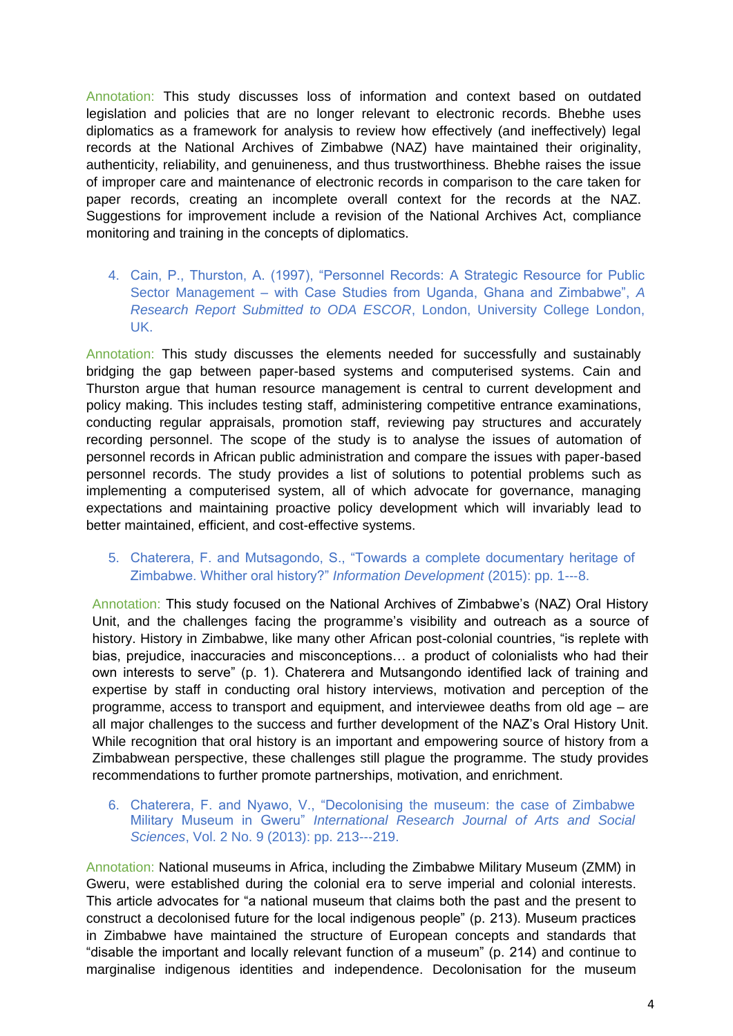Annotation: This study discusses loss of information and context based on outdated legislation and policies that are no longer relevant to electronic records. Bhebhe uses diplomatics as a framework for analysis to review how effectively (and ineffectively) legal records at the National Archives of Zimbabwe (NAZ) have maintained their originality, authenticity, reliability, and genuineness, and thus trustworthiness. Bhebhe raises the issue of improper care and maintenance of electronic records in comparison to the care taken for paper records, creating an incomplete overall context for the records at the NAZ. Suggestions for improvement include a revision of the National Archives Act, compliance monitoring and training in the concepts of diplomatics.

4. Cain, P., Thurston, A. (1997), "Personnel Records: A Strategic Resource for Public Sector Management – with Case Studies from Uganda, Ghana and Zimbabwe", *A Research Report Submitted to ODA ESCOR*, London, University College London, UK.

Annotation: This study discusses the elements needed for successfully and sustainably bridging the gap between paper-based systems and computerised systems. Cain and Thurston argue that human resource management is central to current development and policy making. This includes testing staff, administering competitive entrance examinations, conducting regular appraisals, promotion staff, reviewing pay structures and accurately recording personnel. The scope of the study is to analyse the issues of automation of personnel records in African public administration and compare the issues with paper-based personnel records. The study provides a list of solutions to potential problems such as implementing a computerised system, all of which advocate for governance, managing expectations and maintaining proactive policy development which will invariably lead to better maintained, efficient, and cost-effective systems.

# 5. Chaterera, F. and Mutsagondo, S., "Towards a complete documentary heritage of Zimbabwe. Whither oral history?" *Information Development* (2015): pp. 1--‐8.

Annotation: This study focused on the National Archives of Zimbabwe's (NAZ) Oral History Unit, and the challenges facing the programme's visibility and outreach as a source of history. History in Zimbabwe, like many other African post-colonial countries, "is replete with bias, prejudice, inaccuracies and misconceptions… a product of colonialists who had their own interests to serve" (p. 1). Chaterera and Mutsangondo identified lack of training and expertise by staff in conducting oral history interviews, motivation and perception of the programme, access to transport and equipment, and interviewee deaths from old age – are all major challenges to the success and further development of the NAZ's Oral History Unit. While recognition that oral history is an important and empowering source of history from a Zimbabwean perspective, these challenges still plague the programme. The study provides recommendations to further promote partnerships, motivation, and enrichment.

#### 6. Chaterera, F. and Nyawo, V., "Decolonising the museum: the case of Zimbabwe Military Museum in Gweru" *International Research Journal of Arts and Social Sciences*, Vol. 2 No. 9 (2013): pp. 213--‐219.

Annotation: National museums in Africa, including the Zimbabwe Military Museum (ZMM) in Gweru, were established during the colonial era to serve imperial and colonial interests. This article advocates for "a national museum that claims both the past and the present to construct a decolonised future for the local indigenous people" (p. 213). Museum practices in Zimbabwe have maintained the structure of European concepts and standards that "disable the important and locally relevant function of a museum" (p. 214) and continue to marginalise indigenous identities and independence. Decolonisation for the museum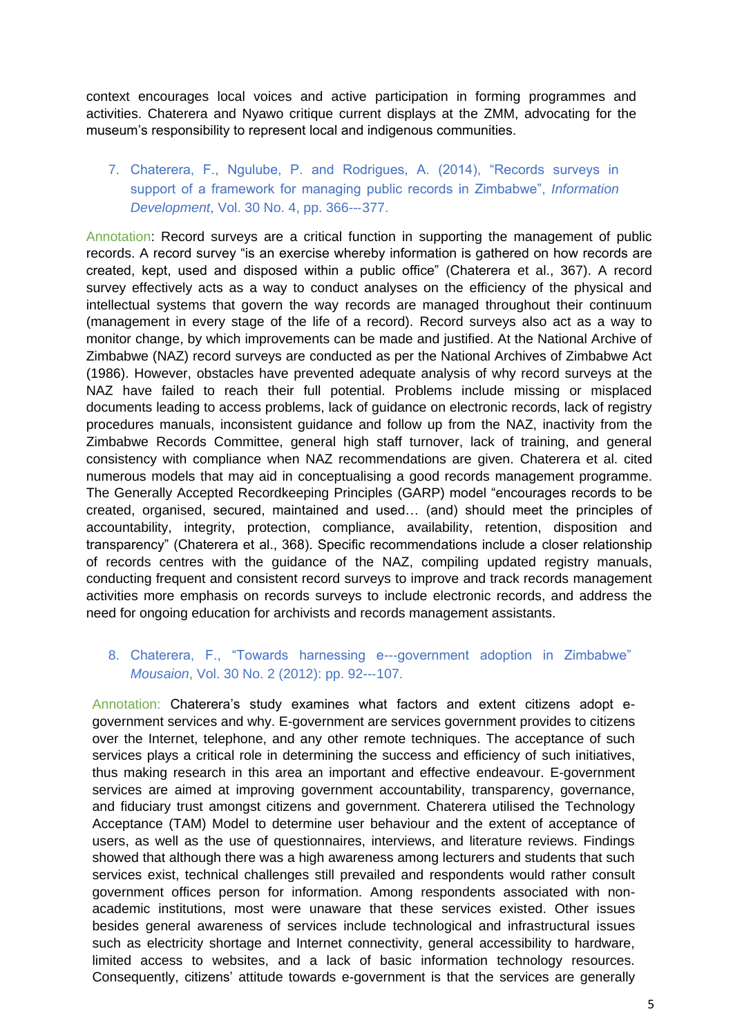context encourages local voices and active participation in forming programmes and activities. Chaterera and Nyawo critique current displays at the ZMM, advocating for the museum's responsibility to represent local and indigenous communities.

# 7. Chaterera, F., Ngulube, P. and Rodrigues, A. (2014), "Records surveys in support of a framework for managing public records in Zimbabwe", *Information Development*, Vol. 30 No. 4, pp. 366--‐377.

Annotation: Record surveys are a critical function in supporting the management of public records. A record survey "is an exercise whereby information is gathered on how records are created, kept, used and disposed within a public office" (Chaterera et al., 367). A record survey effectively acts as a way to conduct analyses on the efficiency of the physical and intellectual systems that govern the way records are managed throughout their continuum (management in every stage of the life of a record). Record surveys also act as a way to monitor change, by which improvements can be made and justified. At the National Archive of Zimbabwe (NAZ) record surveys are conducted as per the National Archives of Zimbabwe Act (1986). However, obstacles have prevented adequate analysis of why record surveys at the NAZ have failed to reach their full potential. Problems include missing or misplaced documents leading to access problems, lack of guidance on electronic records, lack of registry procedures manuals, inconsistent guidance and follow up from the NAZ, inactivity from the Zimbabwe Records Committee, general high staff turnover, lack of training, and general consistency with compliance when NAZ recommendations are given. Chaterera et al. cited numerous models that may aid in conceptualising a good records management programme. The Generally Accepted Recordkeeping Principles (GARP) model "encourages records to be created, organised, secured, maintained and used… (and) should meet the principles of accountability, integrity, protection, compliance, availability, retention, disposition and transparency" (Chaterera et al., 368). Specific recommendations include a closer relationship of records centres with the guidance of the NAZ, compiling updated registry manuals, conducting frequent and consistent record surveys to improve and track records management activities more emphasis on records surveys to include electronic records, and address the need for ongoing education for archivists and records management assistants.

# 8. Chaterera, F., "Towards harnessing e--‐government adoption in Zimbabwe" *Mousaion*, Vol. 30 No. 2 (2012): pp. 92--‐107.

Annotation: Chaterera's study examines what factors and extent citizens adopt egovernment services and why. E-government are services government provides to citizens over the Internet, telephone, and any other remote techniques. The acceptance of such services plays a critical role in determining the success and efficiency of such initiatives, thus making research in this area an important and effective endeavour. E-government services are aimed at improving government accountability, transparency, governance, and fiduciary trust amongst citizens and government. Chaterera utilised the Technology Acceptance (TAM) Model to determine user behaviour and the extent of acceptance of users, as well as the use of questionnaires, interviews, and literature reviews. Findings showed that although there was a high awareness among lecturers and students that such services exist, technical challenges still prevailed and respondents would rather consult government offices person for information. Among respondents associated with nonacademic institutions, most were unaware that these services existed. Other issues besides general awareness of services include technological and infrastructural issues such as electricity shortage and Internet connectivity, general accessibility to hardware, limited access to websites, and a lack of basic information technology resources. Consequently, citizens' attitude towards e-government is that the services are generally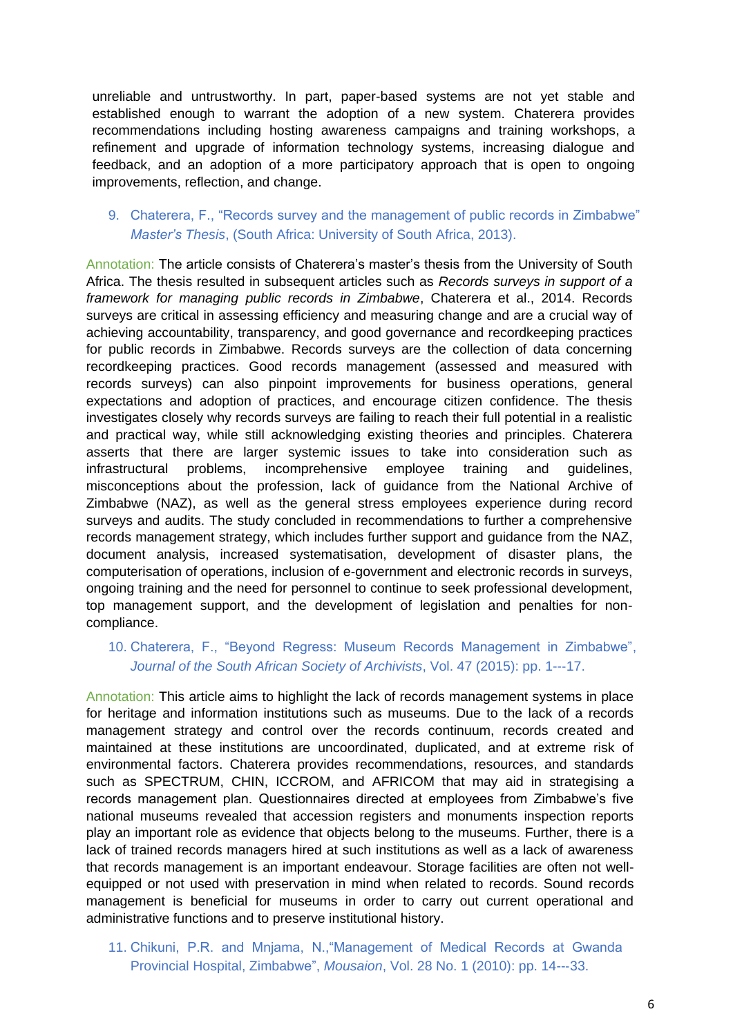unreliable and untrustworthy. In part, paper-based systems are not yet stable and established enough to warrant the adoption of a new system. Chaterera provides recommendations including hosting awareness campaigns and training workshops, a refinement and upgrade of information technology systems, increasing dialogue and feedback, and an adoption of a more participatory approach that is open to ongoing improvements, reflection, and change.

### 9. Chaterera, F., "Records survey and the management of public records in Zimbabwe" *Master's Thesis*, (South Africa: University of South Africa, 2013).

Annotation: The article consists of Chaterera's master's thesis from the University of South Africa. The thesis resulted in subsequent articles such as *Records surveys in support of a framework for managing public records in Zimbabwe*, Chaterera et al., 2014. Records surveys are critical in assessing efficiency and measuring change and are a crucial way of achieving accountability, transparency, and good governance and recordkeeping practices for public records in Zimbabwe. Records surveys are the collection of data concerning recordkeeping practices. Good records management (assessed and measured with records surveys) can also pinpoint improvements for business operations, general expectations and adoption of practices, and encourage citizen confidence. The thesis investigates closely why records surveys are failing to reach their full potential in a realistic and practical way, while still acknowledging existing theories and principles. Chaterera asserts that there are larger systemic issues to take into consideration such as infrastructural problems, incomprehensive employee training and guidelines, misconceptions about the profession, lack of guidance from the National Archive of Zimbabwe (NAZ), as well as the general stress employees experience during record surveys and audits. The study concluded in recommendations to further a comprehensive records management strategy, which includes further support and guidance from the NAZ, document analysis, increased systematisation, development of disaster plans, the computerisation of operations, inclusion of e-government and electronic records in surveys, ongoing training and the need for personnel to continue to seek professional development, top management support, and the development of legislation and penalties for noncompliance.

## 10. Chaterera, F., "Beyond Regress: Museum Records Management in Zimbabwe", *Journal of the South African Society of Archivists*, Vol. 47 (2015): pp. 1--‐17.

Annotation: This article aims to highlight the lack of records management systems in place for heritage and information institutions such as museums. Due to the lack of a records management strategy and control over the records continuum, records created and maintained at these institutions are uncoordinated, duplicated, and at extreme risk of environmental factors. Chaterera provides recommendations, resources, and standards such as SPECTRUM, CHIN, ICCROM, and AFRICOM that may aid in strategising a records management plan. Questionnaires directed at employees from Zimbabwe's five national museums revealed that accession registers and monuments inspection reports play an important role as evidence that objects belong to the museums. Further, there is a lack of trained records managers hired at such institutions as well as a lack of awareness that records management is an important endeavour. Storage facilities are often not wellequipped or not used with preservation in mind when related to records. Sound records management is beneficial for museums in order to carry out current operational and administrative functions and to preserve institutional history.

11. Chikuni, P.R. and Mnjama, N.,"Management of Medical Records at Gwanda Provincial Hospital, Zimbabwe", *Mousaion*, Vol. 28 No. 1 (2010): pp. 14--‐33.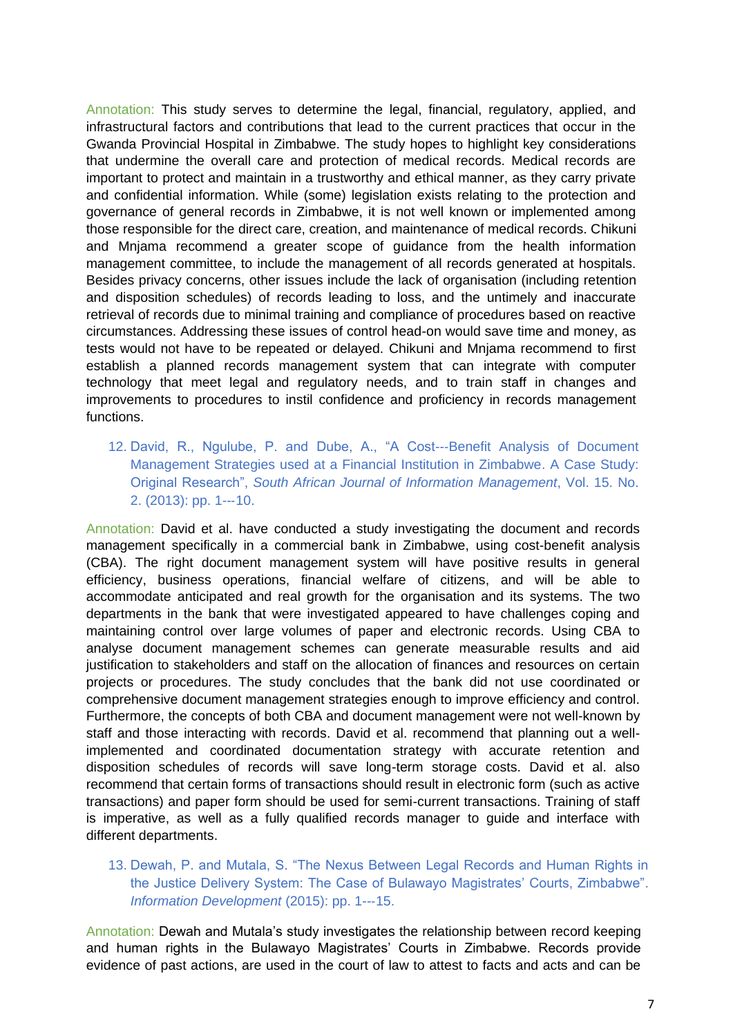Annotation: This study serves to determine the legal, financial, regulatory, applied, and infrastructural factors and contributions that lead to the current practices that occur in the Gwanda Provincial Hospital in Zimbabwe. The study hopes to highlight key considerations that undermine the overall care and protection of medical records. Medical records are important to protect and maintain in a trustworthy and ethical manner, as they carry private and confidential information. While (some) legislation exists relating to the protection and governance of general records in Zimbabwe, it is not well known or implemented among those responsible for the direct care, creation, and maintenance of medical records. Chikuni and Mnjama recommend a greater scope of guidance from the health information management committee, to include the management of all records generated at hospitals. Besides privacy concerns, other issues include the lack of organisation (including retention and disposition schedules) of records leading to loss, and the untimely and inaccurate retrieval of records due to minimal training and compliance of procedures based on reactive circumstances. Addressing these issues of control head-on would save time and money, as tests would not have to be repeated or delayed. Chikuni and Mnjama recommend to first establish a planned records management system that can integrate with computer technology that meet legal and regulatory needs, and to train staff in changes and improvements to procedures to instil confidence and proficiency in records management functions.

12. David, R., Ngulube, P. and Dube, A., "A Cost--‐Benefit Analysis of Document Management Strategies used at a Financial Institution in Zimbabwe. A Case Study: Original Research", *South African Journal of Information Management*, Vol. 15. No. 2. (2013): pp. 1--‐10.

Annotation: David et al. have conducted a study investigating the document and records management specifically in a commercial bank in Zimbabwe, using cost-benefit analysis (CBA). The right document management system will have positive results in general efficiency, business operations, financial welfare of citizens, and will be able to accommodate anticipated and real growth for the organisation and its systems. The two departments in the bank that were investigated appeared to have challenges coping and maintaining control over large volumes of paper and electronic records. Using CBA to analyse document management schemes can generate measurable results and aid justification to stakeholders and staff on the allocation of finances and resources on certain projects or procedures. The study concludes that the bank did not use coordinated or comprehensive document management strategies enough to improve efficiency and control. Furthermore, the concepts of both CBA and document management were not well-known by staff and those interacting with records. David et al. recommend that planning out a wellimplemented and coordinated documentation strategy with accurate retention and disposition schedules of records will save long-term storage costs. David et al. also recommend that certain forms of transactions should result in electronic form (such as active transactions) and paper form should be used for semi-current transactions. Training of staff is imperative, as well as a fully qualified records manager to guide and interface with different departments.

# 13. Dewah, P. and Mutala, S. "The Nexus Between Legal Records and Human Rights in the Justice Delivery System: The Case of Bulawayo Magistrates' Courts, Zimbabwe". *Information Development* (2015): pp. 1--‐15.

Annotation: Dewah and Mutala's study investigates the relationship between record keeping and human rights in the Bulawayo Magistrates' Courts in Zimbabwe. Records provide evidence of past actions, are used in the court of law to attest to facts and acts and can be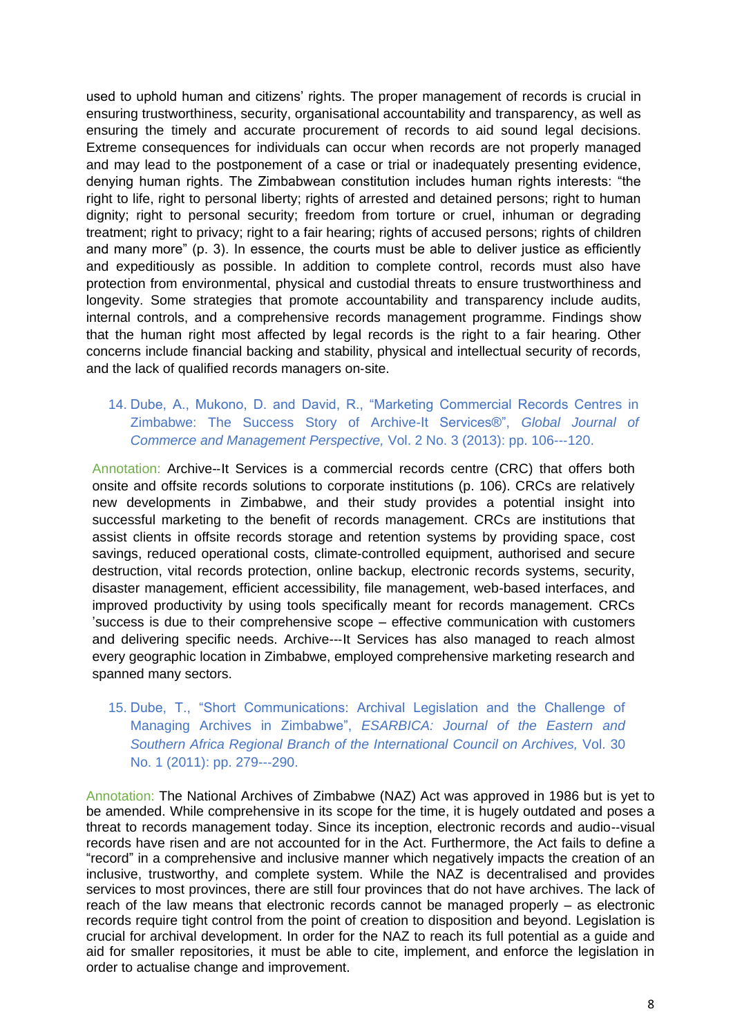used to uphold human and citizens' rights. The proper management of records is crucial in ensuring trustworthiness, security, organisational accountability and transparency, as well as ensuring the timely and accurate procurement of records to aid sound legal decisions. Extreme consequences for individuals can occur when records are not properly managed and may lead to the postponement of a case or trial or inadequately presenting evidence, denying human rights. The Zimbabwean constitution includes human rights interests: "the right to life, right to personal liberty; rights of arrested and detained persons; right to human dignity; right to personal security; freedom from torture or cruel, inhuman or degrading treatment; right to privacy; right to a fair hearing; rights of accused persons; rights of children and many more" (p. 3). In essence, the courts must be able to deliver justice as efficiently and expeditiously as possible. In addition to complete control, records must also have protection from environmental, physical and custodial threats to ensure trustworthiness and longevity. Some strategies that promote accountability and transparency include audits, internal controls, and a comprehensive records management programme. Findings show that the human right most affected by legal records is the right to a fair hearing. Other concerns include financial backing and stability, physical and intellectual security of records, and the lack of qualified records managers on‐site.

# 14. Dube, A., Mukono, D. and David, R., "Marketing Commercial Records Centres in Zimbabwe: The Success Story of Archive-It Services®", *Global Journal of Commerce and Management Perspective,* Vol. 2 No. 3 (2013): pp. 106--‐120.

Annotation: Archive--It Services is a commercial records centre (CRC) that offers both onsite and offsite records solutions to corporate institutions (p. 106). CRCs are relatively new developments in Zimbabwe, and their study provides a potential insight into successful marketing to the benefit of records management. CRCs are institutions that assist clients in offsite records storage and retention systems by providing space, cost savings, reduced operational costs, climate-controlled equipment, authorised and secure destruction, vital records protection, online backup, electronic records systems, security, disaster management, efficient accessibility, file management, web-based interfaces, and improved productivity by using tools specifically meant for records management. CRCs 'success is due to their comprehensive scope – effective communication with customers and delivering specific needs. Archive--‐It Services has also managed to reach almost every geographic location in Zimbabwe, employed comprehensive marketing research and spanned many sectors.

15. Dube, T., "Short Communications: Archival Legislation and the Challenge of Managing Archives in Zimbabwe", *ESARBICA: Journal of the Eastern and Southern Africa Regional Branch of the International Council on Archives,* Vol. 30 No. 1 (2011): pp. 279--‐290.

Annotation: The National Archives of Zimbabwe (NAZ) Act was approved in 1986 but is yet to be amended. While comprehensive in its scope for the time, it is hugely outdated and poses a threat to records management today. Since its inception, electronic records and audio-‐visual records have risen and are not accounted for in the Act. Furthermore, the Act fails to define a "record" in a comprehensive and inclusive manner which negatively impacts the creation of an inclusive, trustworthy, and complete system. While the NAZ is decentralised and provides services to most provinces, there are still four provinces that do not have archives. The lack of reach of the law means that electronic records cannot be managed properly – as electronic records require tight control from the point of creation to disposition and beyond. Legislation is crucial for archival development. In order for the NAZ to reach its full potential as a guide and aid for smaller repositories, it must be able to cite, implement, and enforce the legislation in order to actualise change and improvement.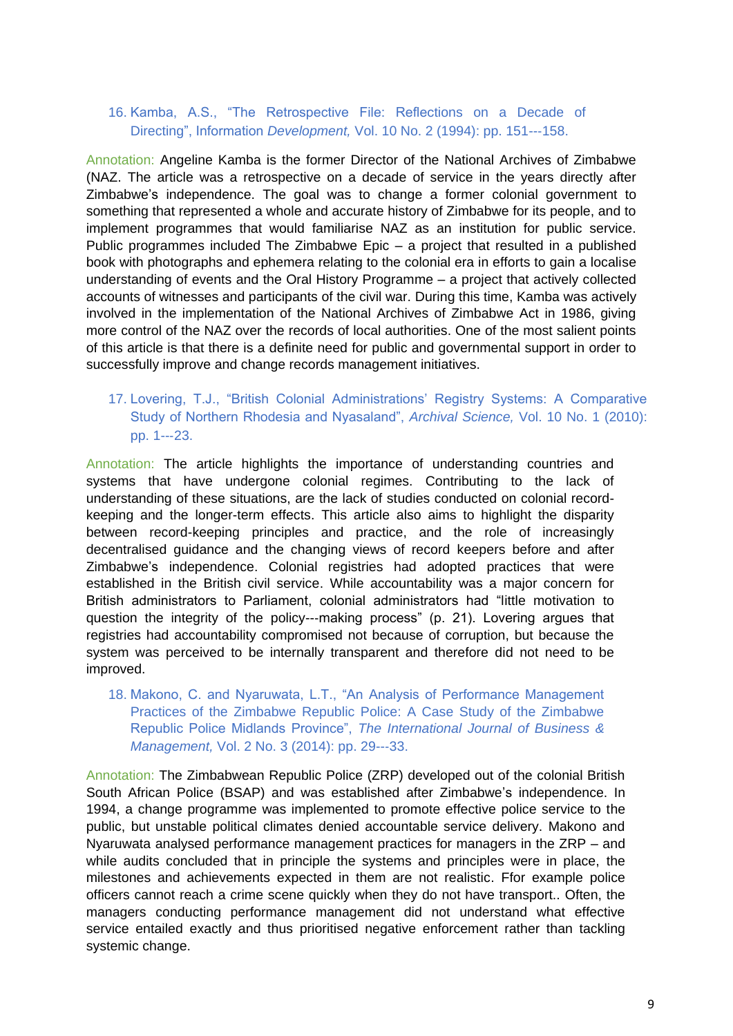### 16. Kamba, A.S., "The Retrospective File: Reflections on a Decade of Directing", Information *Development,* Vol. 10 No. 2 (1994): pp. 151--‐158.

Annotation: Angeline Kamba is the former Director of the National Archives of Zimbabwe (NAZ. The article was a retrospective on a decade of service in the years directly after Zimbabwe's independence. The goal was to change a former colonial government to something that represented a whole and accurate history of Zimbabwe for its people, and to implement programmes that would familiarise NAZ as an institution for public service. Public programmes included The Zimbabwe Epic – a project that resulted in a published book with photographs and ephemera relating to the colonial era in efforts to gain a localise understanding of events and the Oral History Programme – a project that actively collected accounts of witnesses and participants of the civil war. During this time, Kamba was actively involved in the implementation of the National Archives of Zimbabwe Act in 1986, giving more control of the NAZ over the records of local authorities. One of the most salient points of this article is that there is a definite need for public and governmental support in order to successfully improve and change records management initiatives.

# 17. Lovering, T.J., "British Colonial Administrations' Registry Systems: A Comparative Study of Northern Rhodesia and Nyasaland", *Archival Science,* Vol. 10 No. 1 (2010): pp. 1--‐23.

Annotation: The article highlights the importance of understanding countries and systems that have undergone colonial regimes. Contributing to the lack of understanding of these situations, are the lack of studies conducted on colonial recordkeeping and the longer-term effects. This article also aims to highlight the disparity between record-keeping principles and practice, and the role of increasingly decentralised guidance and the changing views of record keepers before and after Zimbabwe's independence. Colonial registries had adopted practices that were established in the British civil service. While accountability was a major concern for British administrators to Parliament, colonial administrators had "little motivation to question the integrity of the policy--‐making process" (p. 21). Lovering argues that registries had accountability compromised not because of corruption, but because the system was perceived to be internally transparent and therefore did not need to be improved.

### 18. Makono, C. and Nyaruwata, L.T., "An Analysis of Performance Management Practices of the Zimbabwe Republic Police: A Case Study of the Zimbabwe Republic Police Midlands Province", *The International Journal of Business & Management,* Vol. 2 No. 3 (2014): pp. 29--‐33.

Annotation: The Zimbabwean Republic Police (ZRP) developed out of the colonial British South African Police (BSAP) and was established after Zimbabwe's independence. In 1994, a change programme was implemented to promote effective police service to the public, but unstable political climates denied accountable service delivery. Makono and Nyaruwata analysed performance management practices for managers in the ZRP – and while audits concluded that in principle the systems and principles were in place, the milestones and achievements expected in them are not realistic. Ffor example police officers cannot reach a crime scene quickly when they do not have transport.. Often, the managers conducting performance management did not understand what effective service entailed exactly and thus prioritised negative enforcement rather than tackling systemic change.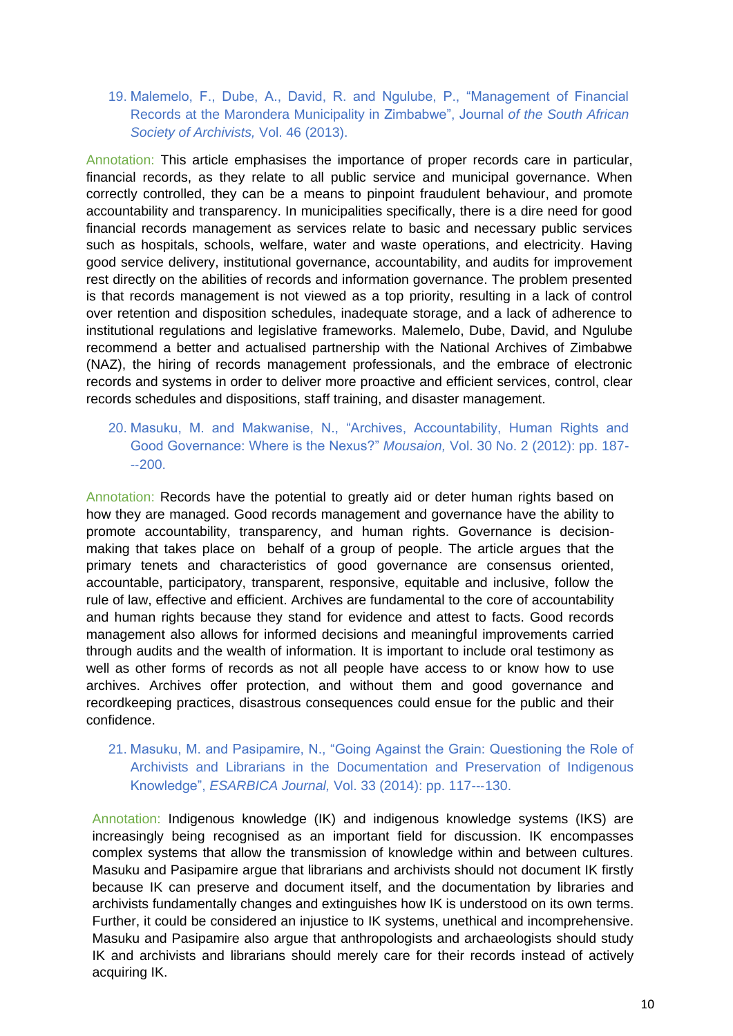# 19. Malemelo, F., Dube, A., David, R. and Ngulube, P., "Management of Financial Records at the Marondera Municipality in Zimbabwe", Journal *of the South African Society of Archivists,* Vol. 46 (2013).

Annotation: This article emphasises the importance of proper records care in particular, financial records, as they relate to all public service and municipal governance. When correctly controlled, they can be a means to pinpoint fraudulent behaviour, and promote accountability and transparency. In municipalities specifically, there is a dire need for good financial records management as services relate to basic and necessary public services such as hospitals, schools, welfare, water and waste operations, and electricity. Having good service delivery, institutional governance, accountability, and audits for improvement rest directly on the abilities of records and information governance. The problem presented is that records management is not viewed as a top priority, resulting in a lack of control over retention and disposition schedules, inadequate storage, and a lack of adherence to institutional regulations and legislative frameworks. Malemelo, Dube, David, and Ngulube recommend a better and actualised partnership with the National Archives of Zimbabwe (NAZ), the hiring of records management professionals, and the embrace of electronic records and systems in order to deliver more proactive and efficient services, control, clear records schedules and dispositions, staff training, and disaster management.

20. Masuku, M. and Makwanise, N., "Archives, Accountability, Human Rights and Good Governance: Where is the Nexus?" *Mousaion,* Vol. 30 No. 2 (2012): pp. 187-  $-200$ 

Annotation: Records have the potential to greatly aid or deter human rights based on how they are managed. Good records management and governance have the ability to promote accountability, transparency, and human rights. Governance is decisionmaking that takes place on behalf of a group of people. The article argues that the primary tenets and characteristics of good governance are consensus oriented, accountable, participatory, transparent, responsive, equitable and inclusive, follow the rule of law, effective and efficient. Archives are fundamental to the core of accountability and human rights because they stand for evidence and attest to facts. Good records management also allows for informed decisions and meaningful improvements carried through audits and the wealth of information. It is important to include oral testimony as well as other forms of records as not all people have access to or know how to use archives. Archives offer protection, and without them and good governance and recordkeeping practices, disastrous consequences could ensue for the public and their confidence.

21. Masuku, M. and Pasipamire, N., "Going Against the Grain: Questioning the Role of Archivists and Librarians in the Documentation and Preservation of Indigenous Knowledge", *ESARBICA Journal,* Vol. 33 (2014): pp. 117--‐130.

Annotation: Indigenous knowledge (IK) and indigenous knowledge systems (IKS) are increasingly being recognised as an important field for discussion. IK encompasses complex systems that allow the transmission of knowledge within and between cultures. Masuku and Pasipamire argue that librarians and archivists should not document IK firstly because IK can preserve and document itself, and the documentation by libraries and archivists fundamentally changes and extinguishes how IK is understood on its own terms. Further, it could be considered an injustice to IK systems, unethical and incomprehensive. Masuku and Pasipamire also argue that anthropologists and archaeologists should study IK and archivists and librarians should merely care for their records instead of actively acquiring IK.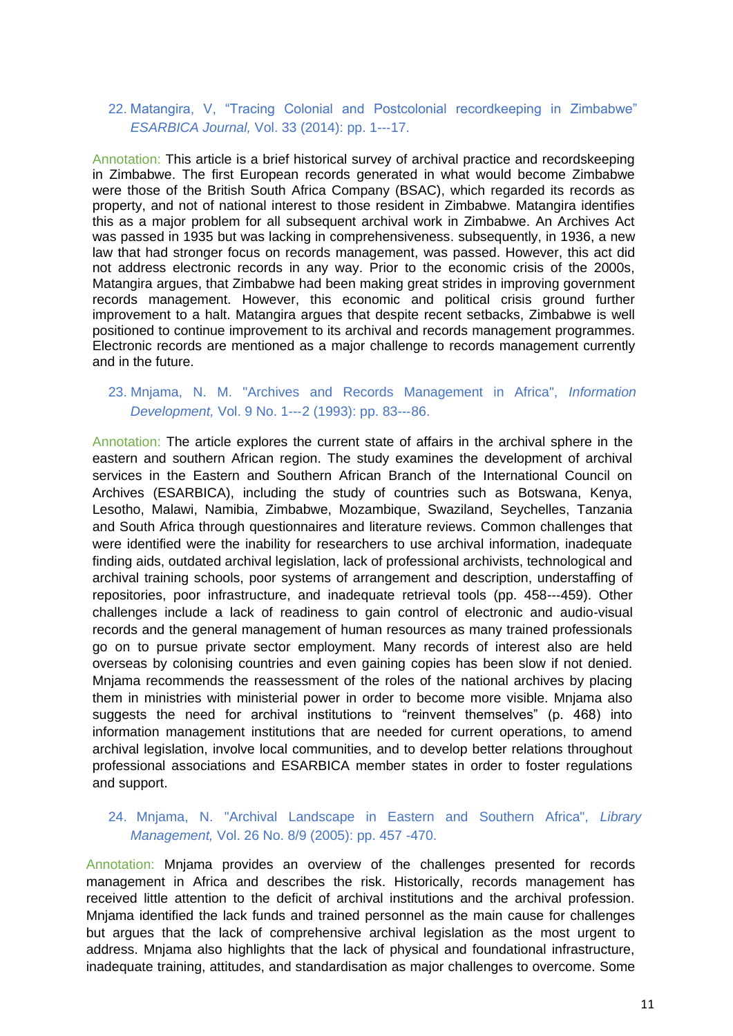# 22. Matangira, V, "Tracing Colonial and Postcolonial recordkeeping in Zimbabwe" *ESARBICA Journal,* Vol. 33 (2014): pp. 1--‐17.

Annotation: This article is a brief historical survey of archival practice and recordskeeping in Zimbabwe. The first European records generated in what would become Zimbabwe were those of the British South Africa Company (BSAC), which regarded its records as property, and not of national interest to those resident in Zimbabwe. Matangira identifies this as a major problem for all subsequent archival work in Zimbabwe. An Archives Act was passed in 1935 but was lacking in comprehensiveness. subsequently, in 1936, a new law that had stronger focus on records management, was passed. However, this act did not address electronic records in any way. Prior to the economic crisis of the 2000s, Matangira argues, that Zimbabwe had been making great strides in improving government records management. However, this economic and political crisis ground further improvement to a halt. Matangira argues that despite recent setbacks, Zimbabwe is well positioned to continue improvement to its archival and records management programmes. Electronic records are mentioned as a major challenge to records management currently and in the future.

# 23. Mnjama, N. M. "Archives and Records Management in Africa", *Information Development,* Vol. 9 No. 1--‐2 (1993): pp. 83--‐86.

Annotation: The article explores the current state of affairs in the archival sphere in the eastern and southern African region. The study examines the development of archival services in the Eastern and Southern African Branch of the International Council on Archives (ESARBICA), including the study of countries such as Botswana, Kenya, Lesotho, Malawi, Namibia, Zimbabwe, Mozambique, Swaziland, Seychelles, Tanzania and South Africa through questionnaires and literature reviews. Common challenges that were identified were the inability for researchers to use archival information, inadequate finding aids, outdated archival legislation, lack of professional archivists, technological and archival training schools, poor systems of arrangement and description, understaffing of repositories, poor infrastructure, and inadequate retrieval tools (pp. 458--‐459). Other challenges include a lack of readiness to gain control of electronic and audio-visual records and the general management of human resources as many trained professionals go on to pursue private sector employment. Many records of interest also are held overseas by colonising countries and even gaining copies has been slow if not denied. Mnjama recommends the reassessment of the roles of the national archives by placing them in ministries with ministerial power in order to become more visible. Mnjama also suggests the need for archival institutions to "reinvent themselves" (p. 468) into information management institutions that are needed for current operations, to amend archival legislation, involve local communities, and to develop better relations throughout professional associations and ESARBICA member states in order to foster regulations and support.

# 24. Mnjama, N. "Archival Landscape in Eastern and Southern Africa", *Library Management,* Vol. 26 No. 8/9 (2005): pp. 457 -470.

Annotation: Mnjama provides an overview of the challenges presented for records management in Africa and describes the risk. Historically, records management has received little attention to the deficit of archival institutions and the archival profession. Mnjama identified the lack funds and trained personnel as the main cause for challenges but argues that the lack of comprehensive archival legislation as the most urgent to address. Mnjama also highlights that the lack of physical and foundational infrastructure, inadequate training, attitudes, and standardisation as major challenges to overcome. Some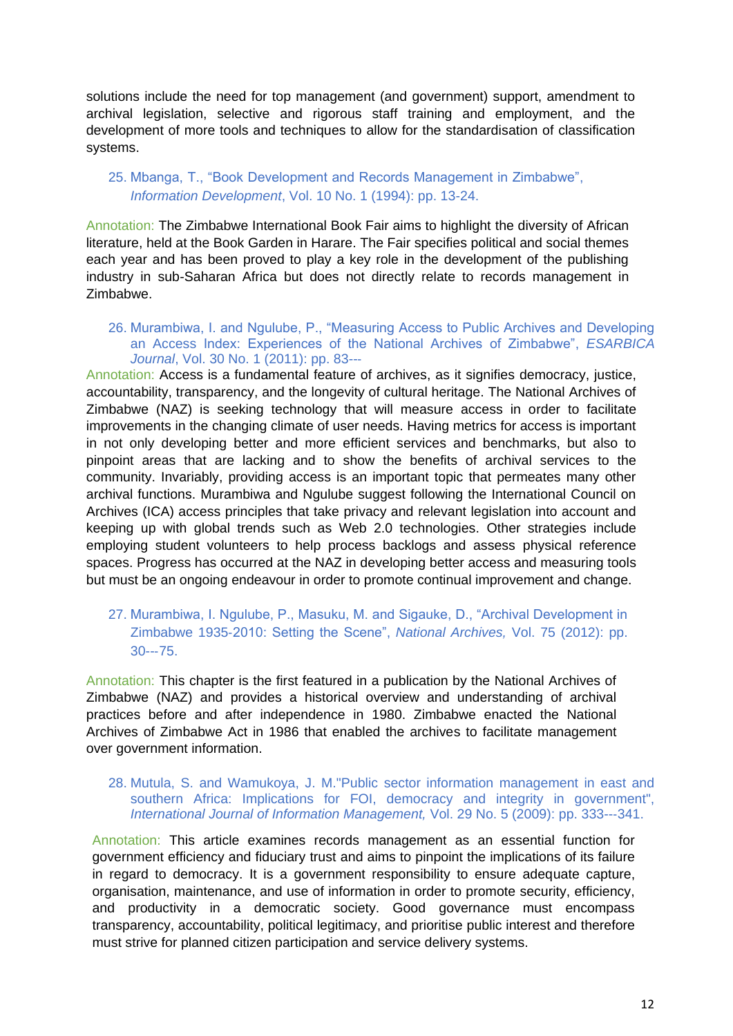solutions include the need for top management (and government) support, amendment to archival legislation, selective and rigorous staff training and employment, and the development of more tools and techniques to allow for the standardisation of classification systems.

# 25. Mbanga, T., "Book Development and Records Management in Zimbabwe", *Information Development*, Vol. 10 No. 1 (1994): pp. 13-24.

Annotation: The Zimbabwe International Book Fair aims to highlight the diversity of African literature, held at the Book Garden in Harare. The Fair specifies political and social themes each year and has been proved to play a key role in the development of the publishing industry in sub-Saharan Africa but does not directly relate to records management in Zimbabwe.

26. Murambiwa, I. and Ngulube, P., "Measuring Access to Public Archives and Developing an Access Index: Experiences of the National Archives of Zimbabwe", *ESARBICA Journal*, Vol. 30 No. 1 (2011): pp. 83--‐

Annotation: Access is a fundamental feature of archives, as it signifies democracy, justice, accountability, transparency, and the longevity of cultural heritage. The National Archives of Zimbabwe (NAZ) is seeking technology that will measure access in order to facilitate improvements in the changing climate of user needs. Having metrics for access is important in not only developing better and more efficient services and benchmarks, but also to pinpoint areas that are lacking and to show the benefits of archival services to the community. Invariably, providing access is an important topic that permeates many other archival functions. Murambiwa and Ngulube suggest following the International Council on Archives (ICA) access principles that take privacy and relevant legislation into account and keeping up with global trends such as Web 2.0 technologies. Other strategies include employing student volunteers to help process backlogs and assess physical reference spaces. Progress has occurred at the NAZ in developing better access and measuring tools but must be an ongoing endeavour in order to promote continual improvement and change.

# 27. Murambiwa, I. Ngulube, P., Masuku, M. and Sigauke, D., "Archival Development in Zimbabwe 1935-2010: Setting the Scene", *National Archives,* Vol. 75 (2012): pp. 30--‐75.

Annotation: This chapter is the first featured in a publication by the National Archives of Zimbabwe (NAZ) and provides a historical overview and understanding of archival practices before and after independence in 1980. Zimbabwe enacted the National Archives of Zimbabwe Act in 1986 that enabled the archives to facilitate management over government information.

#### 28. Mutula, S. and Wamukoya, J. M."Public sector information management in east and southern Africa: Implications for FOI, democracy and integrity in government", *International Journal of Information Management,* Vol. 29 No. 5 (2009): pp. 333--‐341.

Annotation: This article examines records management as an essential function for government efficiency and fiduciary trust and aims to pinpoint the implications of its failure in regard to democracy. It is a government responsibility to ensure adequate capture, organisation, maintenance, and use of information in order to promote security, efficiency, and productivity in a democratic society. Good governance must encompass transparency, accountability, political legitimacy, and prioritise public interest and therefore must strive for planned citizen participation and service delivery systems.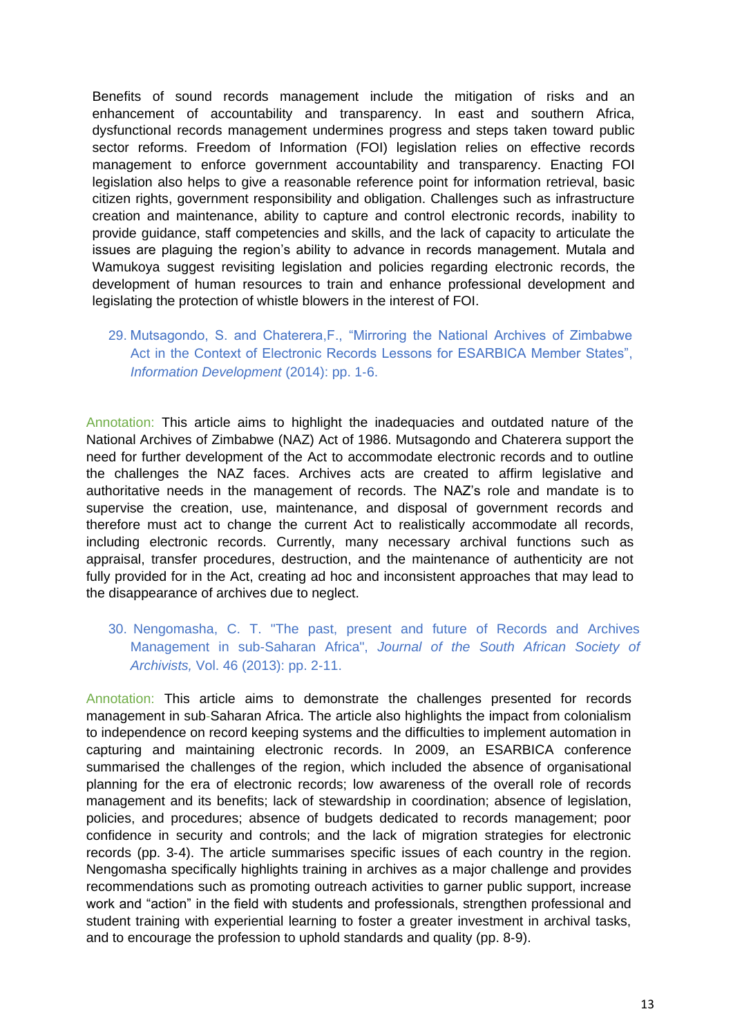Benefits of sound records management include the mitigation of risks and an enhancement of accountability and transparency. In east and southern Africa, dysfunctional records management undermines progress and steps taken toward public sector reforms. Freedom of Information (FOI) legislation relies on effective records management to enforce government accountability and transparency. Enacting FOI legislation also helps to give a reasonable reference point for information retrieval, basic citizen rights, government responsibility and obligation. Challenges such as infrastructure creation and maintenance, ability to capture and control electronic records, inability to provide guidance, staff competencies and skills, and the lack of capacity to articulate the issues are plaguing the region's ability to advance in records management. Mutala and Wamukoya suggest revisiting legislation and policies regarding electronic records, the development of human resources to train and enhance professional development and legislating the protection of whistle blowers in the interest of FOI.

# 29. Mutsagondo, S. and Chaterera,F., "Mirroring the National Archives of Zimbabwe Act in the Context of Electronic Records Lessons for ESARBICA Member States", *Information Development* (2014): pp. 1-6.

Annotation: This article aims to highlight the inadequacies and outdated nature of the National Archives of Zimbabwe (NAZ) Act of 1986. Mutsagondo and Chaterera support the need for further development of the Act to accommodate electronic records and to outline the challenges the NAZ faces. Archives acts are created to affirm legislative and authoritative needs in the management of records. The NAZ's role and mandate is to supervise the creation, use, maintenance, and disposal of government records and therefore must act to change the current Act to realistically accommodate all records, including electronic records. Currently, many necessary archival functions such as appraisal, transfer procedures, destruction, and the maintenance of authenticity are not fully provided for in the Act, creating ad hoc and inconsistent approaches that may lead to the disappearance of archives due to neglect.

30. Nengomasha, C. T. "The past, present and future of Records and Archives Management in sub-Saharan Africa", *Journal of the South African Society of Archivists,* Vol. 46 (2013): pp. 2-11.

Annotation: This article aims to demonstrate the challenges presented for records management in sub-Saharan Africa. The article also highlights the impact from colonialism to independence on record keeping systems and the difficulties to implement automation in capturing and maintaining electronic records. In 2009, an ESARBICA conference summarised the challenges of the region, which included the absence of organisational planning for the era of electronic records; low awareness of the overall role of records management and its benefits; lack of stewardship in coordination; absence of legislation, policies, and procedures; absence of budgets dedicated to records management; poor confidence in security and controls; and the lack of migration strategies for electronic records (pp. 3-4). The article summarises specific issues of each country in the region. Nengomasha specifically highlights training in archives as a major challenge and provides recommendations such as promoting outreach activities to garner public support, increase work and "action" in the field with students and professionals, strengthen professional and student training with experiential learning to foster a greater investment in archival tasks, and to encourage the profession to uphold standards and quality (pp. 8-9).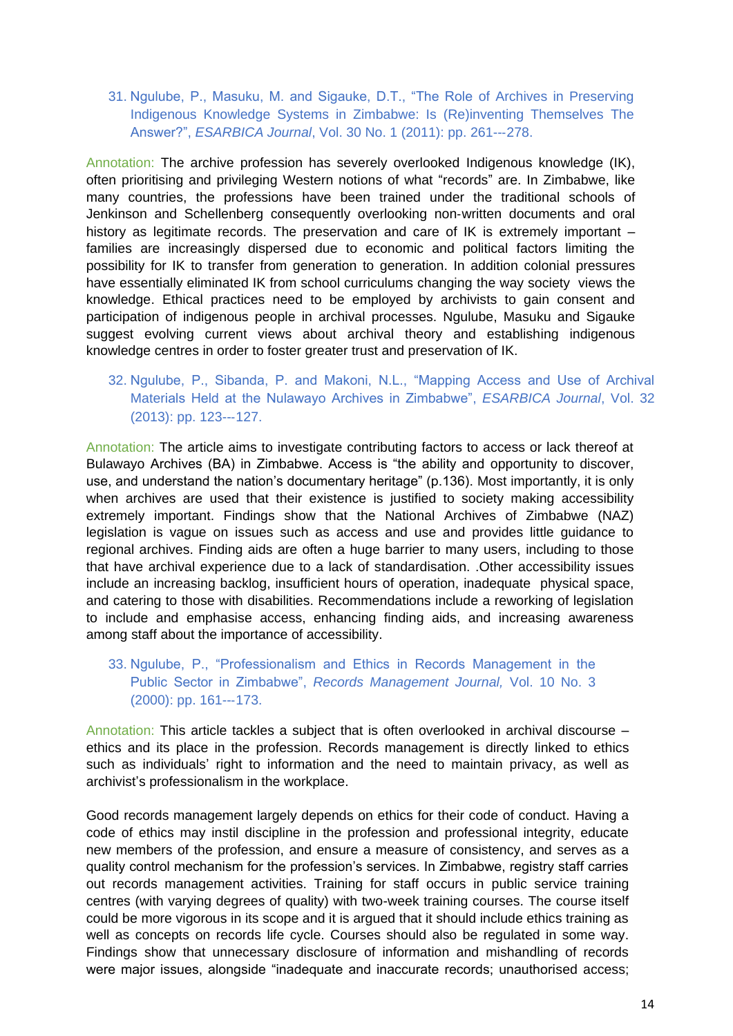31. Ngulube, P., Masuku, M. and Sigauke, D.T., "The Role of Archives in Preserving Indigenous Knowledge Systems in Zimbabwe: Is (Re)inventing Themselves The Answer?", *ESARBICA Journal*, Vol. 30 No. 1 (2011): pp. 261--‐278.

Annotation: The archive profession has severely overlooked Indigenous knowledge (IK), often prioritising and privileging Western notions of what "records" are. In Zimbabwe, like many countries, the professions have been trained under the traditional schools of Jenkinson and Schellenberg consequently overlooking non-written documents and oral history as legitimate records. The preservation and care of IK is extremely important – families are increasingly dispersed due to economic and political factors limiting the possibility for IK to transfer from generation to generation. In addition colonial pressures have essentially eliminated IK from school curriculums changing the way society views the knowledge. Ethical practices need to be employed by archivists to gain consent and participation of indigenous people in archival processes. Ngulube, Masuku and Sigauke suggest evolving current views about archival theory and establishing indigenous knowledge centres in order to foster greater trust and preservation of IK.

32. Ngulube, P., Sibanda, P. and Makoni, N.L., "Mapping Access and Use of Archival Materials Held at the Nulawayo Archives in Zimbabwe", *ESARBICA Journal*, Vol. 32 (2013): pp. 123--‐127.

Annotation: The article aims to investigate contributing factors to access or lack thereof at Bulawayo Archives (BA) in Zimbabwe. Access is "the ability and opportunity to discover, use, and understand the nation's documentary heritage" (p.136). Most importantly, it is only when archives are used that their existence is justified to society making accessibility extremely important. Findings show that the National Archives of Zimbabwe (NAZ) legislation is vague on issues such as access and use and provides little guidance to regional archives. Finding aids are often a huge barrier to many users, including to those that have archival experience due to a lack of standardisation. .Other accessibility issues include an increasing backlog, insufficient hours of operation, inadequate physical space, and catering to those with disabilities. Recommendations include a reworking of legislation to include and emphasise access, enhancing finding aids, and increasing awareness among staff about the importance of accessibility.

# 33. Ngulube, P., "Professionalism and Ethics in Records Management in the Public Sector in Zimbabwe", *Records Management Journal,* Vol. 10 No. 3 (2000): pp. 161--‐173.

Annotation: This article tackles a subject that is often overlooked in archival discourse – ethics and its place in the profession. Records management is directly linked to ethics such as individuals' right to information and the need to maintain privacy, as well as archivist's professionalism in the workplace.

Good records management largely depends on ethics for their code of conduct. Having a code of ethics may instil discipline in the profession and professional integrity, educate new members of the profession, and ensure a measure of consistency, and serves as a quality control mechanism for the profession's services. In Zimbabwe, registry staff carries out records management activities. Training for staff occurs in public service training centres (with varying degrees of quality) with two-week training courses. The course itself could be more vigorous in its scope and it is argued that it should include ethics training as well as concepts on records life cycle. Courses should also be regulated in some way. Findings show that unnecessary disclosure of information and mishandling of records were major issues, alongside "inadequate and inaccurate records; unauthorised access;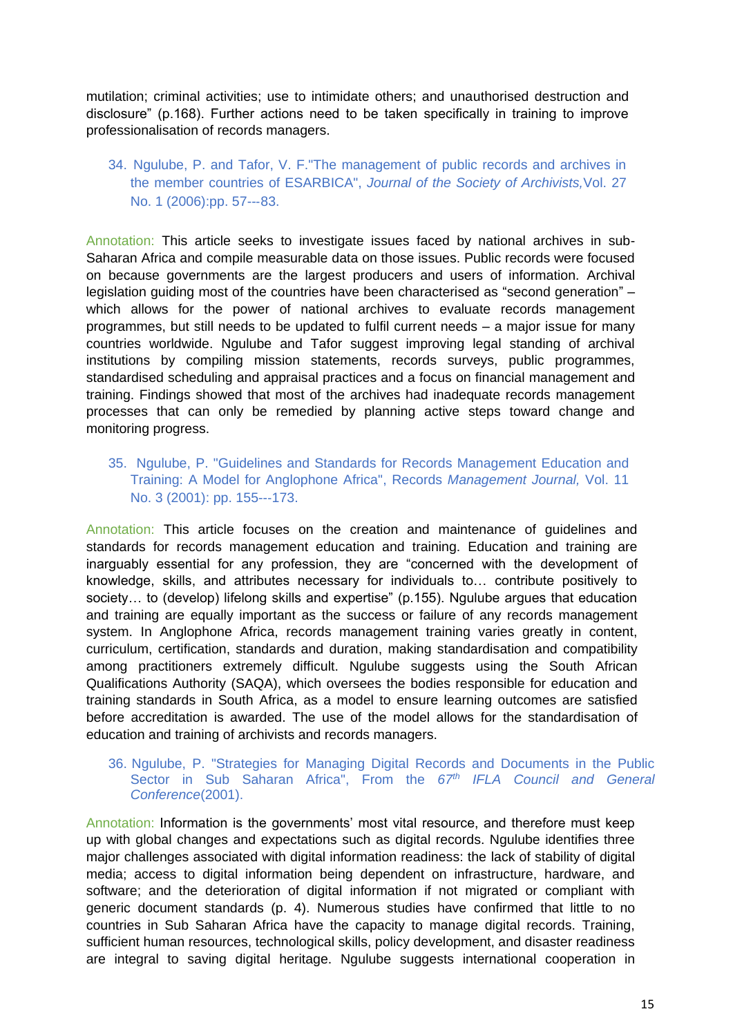mutilation; criminal activities; use to intimidate others; and unauthorised destruction and disclosure" (p.168). Further actions need to be taken specifically in training to improve professionalisation of records managers.

# 34. Ngulube, P. and Tafor, V. F."The management of public records and archives in the member countries of ESARBICA", *Journal of the Society of Archivists,*Vol. 27 No. 1 (2006):pp. 57--‐83.

Annotation: This article seeks to investigate issues faced by national archives in sub-Saharan Africa and compile measurable data on those issues. Public records were focused on because governments are the largest producers and users of information. Archival legislation guiding most of the countries have been characterised as "second generation" – which allows for the power of national archives to evaluate records management programmes, but still needs to be updated to fulfil current needs – a major issue for many countries worldwide. Ngulube and Tafor suggest improving legal standing of archival institutions by compiling mission statements, records surveys, public programmes, standardised scheduling and appraisal practices and a focus on financial management and training. Findings showed that most of the archives had inadequate records management processes that can only be remedied by planning active steps toward change and monitoring progress.

#### 35. Ngulube, P. "Guidelines and Standards for Records Management Education and Training: A Model for Anglophone Africa", Records *Management Journal,* Vol. 11 No. 3 (2001): pp. 155--‐173.

Annotation: This article focuses on the creation and maintenance of guidelines and standards for records management education and training. Education and training are inarguably essential for any profession, they are "concerned with the development of knowledge, skills, and attributes necessary for individuals to… contribute positively to society... to (develop) lifelong skills and expertise" (p.155). Ngulube argues that education and training are equally important as the success or failure of any records management system. In Anglophone Africa, records management training varies greatly in content, curriculum, certification, standards and duration, making standardisation and compatibility among practitioners extremely difficult. Ngulube suggests using the South African Qualifications Authority (SAQA), which oversees the bodies responsible for education and training standards in South Africa, as a model to ensure learning outcomes are satisfied before accreditation is awarded. The use of the model allows for the standardisation of education and training of archivists and records managers.

#### 36. Ngulube, P. "Strategies for Managing Digital Records and Documents in the Public Sector in Sub Saharan Africa", From the *67th IFLA Council and General Conference*(2001).

Annotation: Information is the governments' most vital resource, and therefore must keep up with global changes and expectations such as digital records. Ngulube identifies three major challenges associated with digital information readiness: the lack of stability of digital media; access to digital information being dependent on infrastructure, hardware, and software; and the deterioration of digital information if not migrated or compliant with generic document standards (p. 4). Numerous studies have confirmed that little to no countries in Sub Saharan Africa have the capacity to manage digital records. Training, sufficient human resources, technological skills, policy development, and disaster readiness are integral to saving digital heritage. Ngulube suggests international cooperation in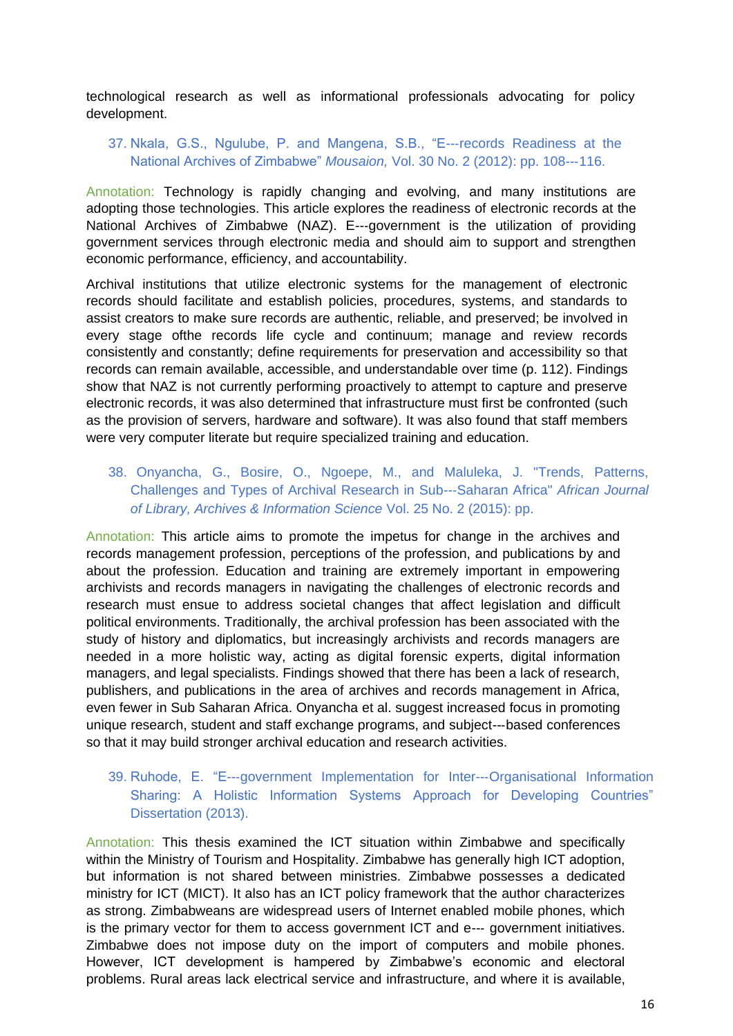technological research as well as informational professionals advocating for policy development.

## 37. Nkala, G.S., Ngulube, P. and Mangena, S.B., "E--‐records Readiness at the National Archives of Zimbabwe" *Mousaion,* Vol. 30 No. 2 (2012): pp. 108--‐116.

Annotation: Technology is rapidly changing and evolving, and many institutions are adopting those technologies. This article explores the readiness of electronic records at the National Archives of Zimbabwe (NAZ). E--‐government is the utilization of providing government services through electronic media and should aim to support and strengthen economic performance, efficiency, and accountability.

Archival institutions that utilize electronic systems for the management of electronic records should facilitate and establish policies, procedures, systems, and standards to assist creators to make sure records are authentic, reliable, and preserved; be involved in every stage ofthe records life cycle and continuum; manage and review records consistently and constantly; define requirements for preservation and accessibility so that records can remain available, accessible, and understandable over time (p. 112). Findings show that NAZ is not currently performing proactively to attempt to capture and preserve electronic records, it was also determined that infrastructure must first be confronted (such as the provision of servers, hardware and software). It was also found that staff members were very computer literate but require specialized training and education.

### 38. Onyancha, G., Bosire, O., Ngoepe, M., and Maluleka, J. "Trends, Patterns, Challenges and Types of Archival Research in Sub--‐Saharan Africa" *African Journal of Library, Archives & Information Science* Vol. 25 No. 2 (2015): pp.

Annotation: This article aims to promote the impetus for change in the archives and records management profession, perceptions of the profession, and publications by and about the profession. Education and training are extremely important in empowering archivists and records managers in navigating the challenges of electronic records and research must ensue to address societal changes that affect legislation and difficult political environments. Traditionally, the archival profession has been associated with the study of history and diplomatics, but increasingly archivists and records managers are needed in a more holistic way, acting as digital forensic experts, digital information managers, and legal specialists. Findings showed that there has been a lack of research, publishers, and publications in the area of archives and records management in Africa, even fewer in Sub Saharan Africa. Onyancha et al. suggest increased focus in promoting unique research, student and staff exchange programs, and subject--‐based conferences so that it may build stronger archival education and research activities.

# 39. Ruhode, E. "E--‐government Implementation for Inter--‐Organisational Information Sharing: A Holistic Information Systems Approach for Developing Countries" Dissertation (2013).

Annotation: This thesis examined the ICT situation within Zimbabwe and specifically within the Ministry of Tourism and Hospitality. Zimbabwe has generally high ICT adoption, but information is not shared between ministries. Zimbabwe possesses a dedicated ministry for ICT (MICT). It also has an ICT policy framework that the author characterizes as strong. Zimbabweans are widespread users of Internet enabled mobile phones, which is the primary vector for them to access government ICT and e--‐ government initiatives. Zimbabwe does not impose duty on the import of computers and mobile phones. However, ICT development is hampered by Zimbabwe's economic and electoral problems. Rural areas lack electrical service and infrastructure, and where it is available,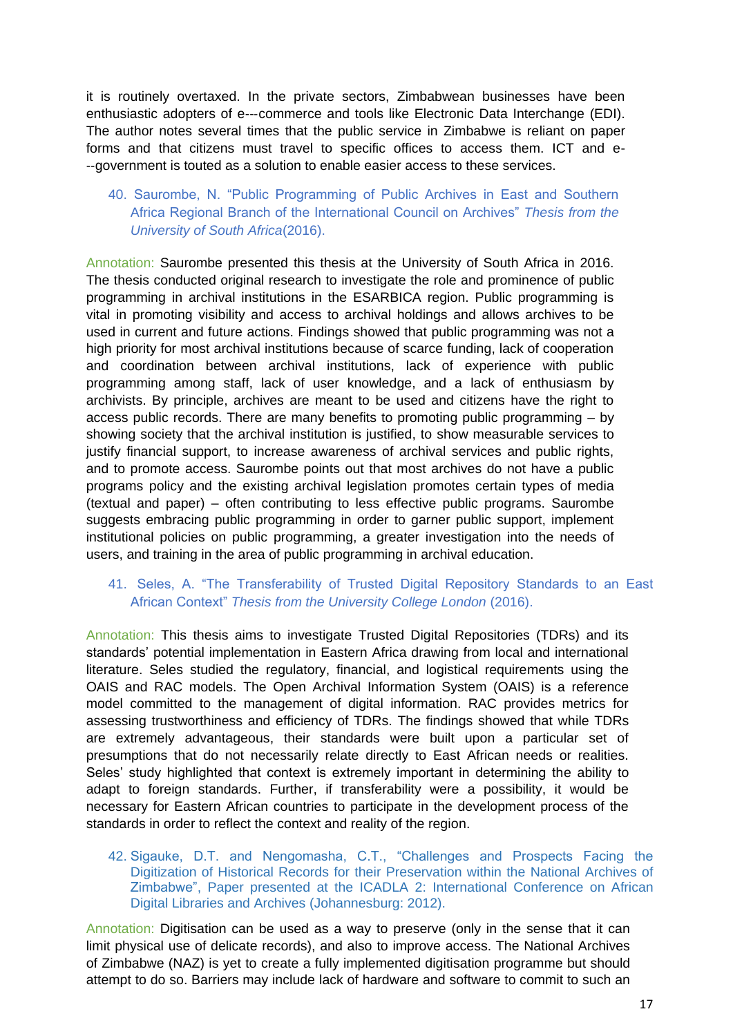it is routinely overtaxed. In the private sectors, Zimbabwean businesses have been enthusiastic adopters of e---commerce and tools like Electronic Data Interchange (EDI). The author notes several times that the public service in Zimbabwe is reliant on paper forms and that citizens must travel to specific offices to access them. ICT and e- -‐government is touted as a solution to enable easier access to these services.

# 40. Saurombe, N. "Public Programming of Public Archives in East and Southern Africa Regional Branch of the International Council on Archives" *Thesis from the University of South Africa*(2016).

Annotation: Saurombe presented this thesis at the University of South Africa in 2016. The thesis conducted original research to investigate the role and prominence of public programming in archival institutions in the ESARBICA region. Public programming is vital in promoting visibility and access to archival holdings and allows archives to be used in current and future actions. Findings showed that public programming was not a high priority for most archival institutions because of scarce funding, lack of cooperation and coordination between archival institutions, lack of experience with public programming among staff, lack of user knowledge, and a lack of enthusiasm by archivists. By principle, archives are meant to be used and citizens have the right to access public records. There are many benefits to promoting public programming  $-$  by showing society that the archival institution is justified, to show measurable services to justify financial support, to increase awareness of archival services and public rights, and to promote access. Saurombe points out that most archives do not have a public programs policy and the existing archival legislation promotes certain types of media (textual and paper) – often contributing to less effective public programs. Saurombe suggests embracing public programming in order to garner public support, implement institutional policies on public programming, a greater investigation into the needs of users, and training in the area of public programming in archival education.

### 41. Seles, A. "The Transferability of Trusted Digital Repository Standards to an East African Context" *Thesis from the University College London* (2016).

Annotation: This thesis aims to investigate Trusted Digital Repositories (TDRs) and its standards' potential implementation in Eastern Africa drawing from local and international literature. Seles studied the regulatory, financial, and logistical requirements using the OAIS and RAC models. The Open Archival Information System (OAIS) is a reference model committed to the management of digital information. RAC provides metrics for assessing trustworthiness and efficiency of TDRs. The findings showed that while TDRs are extremely advantageous, their standards were built upon a particular set of presumptions that do not necessarily relate directly to East African needs or realities. Seles' study highlighted that context is extremely important in determining the ability to adapt to foreign standards. Further, if transferability were a possibility, it would be necessary for Eastern African countries to participate in the development process of the standards in order to reflect the context and reality of the region.

#### 42. Sigauke, D.T. and Nengomasha, C.T., "Challenges and Prospects Facing the Digitization of Historical Records for their Preservation within the National Archives of Zimbabwe", Paper presented at the ICADLA 2: International Conference on African Digital Libraries and Archives (Johannesburg: 2012).

Annotation: Digitisation can be used as a way to preserve (only in the sense that it can limit physical use of delicate records), and also to improve access. The National Archives of Zimbabwe (NAZ) is yet to create a fully implemented digitisation programme but should attempt to do so. Barriers may include lack of hardware and software to commit to such an